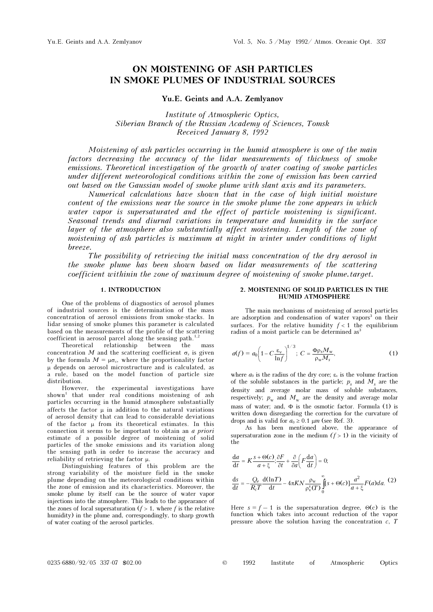# ON MOISTENING OF ASH PARTICLES IN SMOKE PLUMES OF INDUSTRIAL SOURCES

# Yu.E. Geints and A.A. Zemlyanov

Institute of Atmospheric Optics, Siberian Branch of the Russian Academy of Sciences, Tomsk Received January 8, 1992

Moistening of ash particles occurring in the humid atmosphere is one of the main factors decreasing the accuracy of the lidar measurements of thickness of smoke emissions. Theoretical investigation of the growth of water coating of smoke particles under different meteorological conditions within the zone of emission has been carried out based on the Gaussian model of smoke plume with slant axis and its parameters.

Numerical calculations have shown that in the case of high initial moisture content of the emissions near the source in the smoke plume the zone appears in which water vapor is supersaturated and the effect of particle moistening is significant. Seasonal trends and diurnal variations in temperature and humidity in the surface layer of the atmosphere also substantially affect moistening. Length of the zone of moistening of ash particles is maximum at night in winter under conditions of light breeze.

The possibility of retrieving the initial mass concentration of the dry aerosol in the smoke plume has been shown based on lidar measurements of the scattering coefficient withinin the zone of maximum degree of moistening of smoke plume.target.

## 1. INTRODUCTION

One of the problems of diagnostics of aerosol plumes of industrial sources is the determination of the mass concentration of aerosol emissions from smoke-stacks. In lidar sensing of smoke plumes this parameter is calculated based on the measurements of the profile of the scattering coefficient in aerosol parcel along the sensing path.<sup>1</sup>

Theoretical relationship between the mass concentration M and the scattering coefficient  $\sigma_s$  is given by the formula  $M = \mu \sigma_s$ , where the proportionality factor μ depends on aerosol microstructure and is calculated, as a rule, based on the model function of particle size distribution.

However, the experimental investigations have shown<sup>1</sup> that under real conditions moistening of ash particles occurring in the humid atmosphere substantially affects the factor  $\mu$  in addition to the natural variations of aerosol density that can lead to considerable deviations of the factor μ from its theoretical estimates. In this connection it seems to be important to obtain an a priori estimate of a possible degree of moistening of solid particles of the smoke emissions and its variation along the sensing path in order to increase the accuracy and reliability of retrieving the factor μ.

Distinguishing features of this problem are the strong variability of the moisture field in the smoke plume depending on the meteorological conditions within the zone of emission and its characteristics. Moreover, the smoke plume by itself can be the source of water vapor injections into the atmosphere. This leads to the appearance of the zones of local supersaturation  $(f > 1$ , where f is the relative humidity) in the plume and, correspondingly, to sharp growth of water coating of the aerosol particles.

### 2. MOISTENING OF SOLID PARTICLES IN THE HUMID ATMOSPHERE

The main mechanisms of moistening of aerosol particles are adsorption and condensation of water vapors<sup>3</sup> on their surfaces. For the relative humidity  $f < 1$  the equilibrium radius of a moist particle can be determined as<sup>3</sup>

$$
a(f) = a_0 \left( 1 - C \frac{\varepsilon_v}{\ln f} \right)^{1/3}; \ C = \frac{\Phi \rho_s M_w}{\rho_w M_s}, \tag{1}
$$

where  $a_0$  is the radius of the dry core;  $\varepsilon_v$  is the volume fraction of the soluble substances in the particle;  $p_s$  and  $M_s$  are the density and average molar mass of soluble substances, respectively;  $p_w$  and  $M_w$  are the density and average molar mass of water; and, Φ is the osmotic factor. Formula (1) is written down disregarding the correction for the curvature of drops and is valid for  $a_0 \geq 0.1 \mu m$  (see Ref. 3).

As has been mentioned above, the appearance of supersaturation zone in the medium  $(f > 1)$  in the vicinity of the

$$
\frac{da}{dt} = K \frac{s + \Theta(c)}{a + \xi}; \frac{\partial F}{\partial t} + \frac{\partial}{\partial a} \left( F \frac{da}{dt} \right) = 0;
$$
\n
$$
\frac{ds}{dt} = -\frac{Q_e}{R_c T} \frac{d(\ln T)}{dt} - 4\pi KN \frac{\rho_w}{\rho_v^s(T)} \int_0^{\infty} [s + \Theta(c)] \frac{a^2}{a + \xi} F(a) da. (2)
$$

Here  $s = f - 1$  is the supersaturation degree,  $\Theta(c)$  is the function which takes into account reduction of the vapor pressure above the solution having the concentration  $c, T$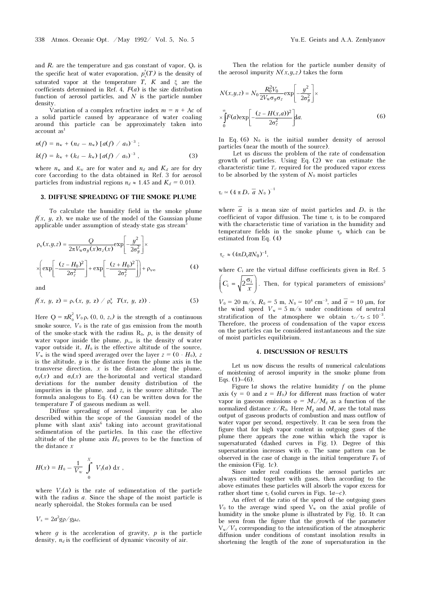and  $R_c$  are the temperature and gas constant of vapor,  $Q_e$  is the specific heat of water evaporation,  $p_v^s(T)$  is the density of saturated vapor at the temperature T, K and  $\xi$  are the coefficients determined in Ref. 4,  $F(a)$  is the size distribution function of aerosol particles, and  $N$  is the particle number density.

Variation of a complex refractive index  $m = n + Ac$  of a solid particle caused by appearance of water coaling around this particle can be approximately taken into account as<sup>1</sup>

$$
n(f) = n_w + (n_d - n_w) [a(f) / a_0]^{-3};
$$
  
\n
$$
k(f) = k_w + (k_d - k_w) [a(f) / a_0]^{-3},
$$
\n(3)

where  $n_w$  and  $K_w$  are for water and  $n_d$  and  $K_d$  are for dry core (according to the data obtained in Ref. 3 for aerosol particles from industrial regions  $n_d \approx 1.45$  and  $K_d = 0.01$ ).

#### 3. DIFFUSE SPREADING OF THE SMOKE PLUME

To calculate the humidity field in the smoke plume  $f(x, y, z)$ , we make use of the model of the Gaussian plume applicable under assumption of steady-state gas stream<sup>5</sup>

$$
\rho_{\rm v}(x, y, z) = \frac{Q}{2\pi V_{\rm w}\sigma_y(x)\sigma_z(x)} \exp\left[-\frac{y^2}{2\sigma_y^2}\right] \times
$$

$$
\times \left(\exp\left[-\frac{(z - H_0)^2}{2\sigma_z^2}\right] + \exp\left[-\frac{(z + H_0)^2}{2\sigma_z^2}\right]\right) + \rho_{\rm v\infty}
$$
(4)

and

$$
f(x, y, z) = \rho_v(x, y, z) / \rho_v^s T(x, y, z)) .
$$
 (5)

Here  $Q = \pi R_0^2 V_0 \rho_v (0, 0, z_s)$  is the strength of a continuous smoke source,  $V_0$  is the rate of gas emission from the mouth of the smoke-stack with the radius  $R_0$ ,  $p_v$  is the density of water vapor inside the plume,  $p_{vw}$  is the density of water vapor outside it,  $H_0$  is the effective altitude of the source,  $V_{w}$  is the wind speed averaged over the layer  $z = (0 - H_{0})$ , z is the altitude,  $\hat{y}$  is the distance from the plume axis in the transverse direction,  $x$  is the distance along the plume, σy(x) and σz(x) are the-horizontal and vertical standard deviations for the number density distribution of the impurities in the plume, and  $z_s$  is the source altitude. The formula analogous to Eq. (4) can be written down for the temperature  $\overline{T}$  of gaseous medium as well.

Diffuse spreading of aerosol .impurity can be also described within the scope of the Gaussian model of the plume with slant axis<sup>6</sup> taking into account gravitational sedimentation of the particles. In this case the effective altitude of the plume axis  $H_0$  proves to be the function of the distance x

$$
H(x) = H_0 - \frac{1}{V_w} \int_{0}^{X} V_s(a) dx,
$$

where  $V_s(a)$  is the rate of sedimentation of the particle with the radius  $a$ . Since the shape of the moist particle is nearly spheroidal, the Stokes formula can be used

 $V_s = 2a^2$ g $\rho$ /g $\mu_d$ ,

where  $q$  is the acceleration of gravity,  $p$  is the particle density,  $n_d$  is the coefficient of dynamic viscosity of air.

Then the relation for the particle number density of the aerosol impurity  $N(x, y, z)$  takes the form

$$
N(x, y, z) = N_0 \frac{R_0^2 V_0}{2V_w \sigma_y \sigma_z} \exp\left[-\frac{y^2}{2\sigma_y^2}\right] \times
$$

$$
\times \int_0^\infty F(a) \exp\left[-\frac{(z - H(x, a))^2}{2\sigma_z^2}\right] da.
$$
 (6)

In Eq.  $(6)$  N<sub>0</sub> is the initial number density of aerosol particles (near the mouth of the source).

Let us discuss the problem of the rate of condensation growth of particles. Using Eq. (2) we can estimate the characteristic time  $T_c$  required for the produced vapor excess to be absorbed by the system of  $N_0$  moist particles

$$
\tau_c \simeq (4 \pi D_v \overline{a} N_0)^{-1}
$$

where  $\overline{a}$  is a mean size of moist particles and  $D_{\nu}$  is the coefficient of vapor diffusion. The time  $\tau_c$  is to be compared with the characteristic time of variation in the humidity and temperature fields in the smoke plume  $\tau_p$  which can be estimated from Eq. (4)

$$
\tau_c \approx (4\pi D_v \bar{a} N_0)^{-1},
$$

where  $C_i$  are the virtual diffuse coefficients given in Ref. 5  $C_i = \sqrt{2 \frac{\sigma_i}{x}}$  $\left( \begin{array}{cc} \cdot & \sqrt{x} \end{array} \right)$ . Then, for typical parameters of emissions<sup>2</sup>

 $V_0 = 20 \text{ m/s}, R_0 = 5 \text{ m}, N_0 \approx 10^4 \text{ cm}^{-3}$ , and  $\overline{a} = 10 \text{ µm}$ , for the wind speed  $V = 5 \text{ m/s}$  under conditions of neutral the wind speed  $V_w = 5$  m/s under conditions of neutral stratification of the atmosphere we obtain  $\tau_c/\tau_P \leq 10^{-3}$ . Therefore, the process of condensation of the vapor excess on the particles can be considered instantaneous and the size of moist particles equilibrium.

#### 4. DISCUSSION OF RESULTS

Let us now discuss the results of numerical calculations of moistening of aerosol impurity in the smoke plume from Eqs.  $(1)$ – $(6)$ .

Figure 1a shows the relative humidity  $f$  on the plume axis ( $y = 0$  and  $z = H_0$ ) for different mass fraction of water vapor in gaseous emissions  $\varphi = M_v/M_g$  as a function of the normalized distance  $x/R_0$ . Here  $M_g$  and  $M_v$  are the total mass output of gaseous products of combustion and mass outflow of water vapor per second, respectively. It can be seen from the figure that for high vapor content in outgoing gases of the plume there appears the zone within which the vapor is supersaturated (dashed curves in Fig. 1). Degree of this supersaturation increases with ϕ. The same pattern can be observed in the case of change in the initial temperature  $T_0$  of the emission (Fig. 1c).

Since under real conditions the aerosol particles arc always emitted together with gases, then according to the above estimates these particles will absorb the vapor excess for rather short time  $\tau_c$  (solid curves in Figs. 1a–c).

An effect of the ratio of the speed of the outgoing gases  $V_0$  to the average wind speed  $V_w$  on the axial profile of humidity in the smoke plume is illustrated by Fig. 1b. It can be seen from the figure that the growth of the parameter  $V_{w}/V_0$  corresponding to the intensification of the atmospheric diffusion under conditions of constant insolation results in shortening the length of the zone of supersaturation in the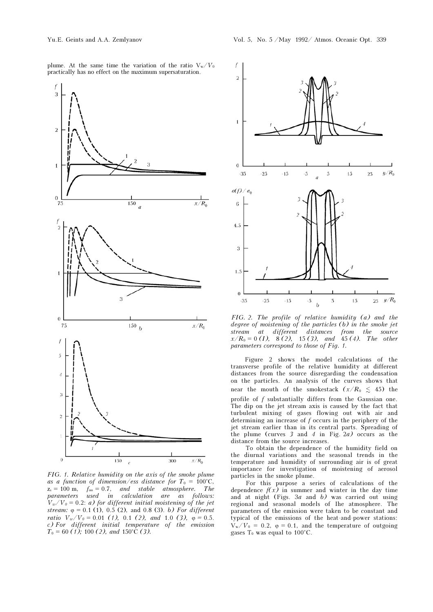

FIG. 1. Relative humidity on the axis of the smoke plume as a function of dimension/ess distance for  $T_0 = 100^{\circ}$ C,  $z_s = 100 \text{ m}, \quad f_{oo} = 0.7, \quad and \quad stable \quad atmosphere. \quad The$ parameters used in calculation are as follows:  $V_w/V_0 = 0.2$ : *a)* for different initial moistening of the jet stream:  $\varphi = 0.1$  (1), 0.5 (2), and 0.8 (3). b) For different ratio  $V_w/V_0 = 0.01$  (1), 0.1 (2), and 1.0 (3),  $\varphi = 0.5$ . c) For different initial temperature of the emission  $T_0 = 60$  (1); 100 (2), and 150°C (3).



FIG. 2. The profile of relative humidity (a) and the degree of moistening of the particles (b) in the smoke jet stream at different distances from the source  $x/R_0 = 0$  (I), 8(2), 15(3), and 45(4). The other parameters correspond to those of Fig. 1.

Figure 2 shows the model calculations of the transverse profile of the relative humidity at different distances from the source disregarding the condensation on the particles. An analysis of the curves shows that near the mouth of the smokestack  $(x/R_0 \leq 45)$  the profile of f substantially differs from the Gaussian one. The dip on the jet stream axis is caused by the fact that turbulent mixing of gases flowing out with air and determining an increase of f occurs in the periphery of the jet stream earlier than in its central parts. Spreading of the plume (curves 3 and 4 in Fig.  $2a$ ) occurs as the distance from the source increases.

To obtain the dependence of the humidity field on the diurnal variations and the seasonal trends in the temperature and humidity of surrounding air is of great importance for investigation of moistening of aerosol particles in the smoke plume.

For this purpose a series of calculations of the dependence  $f(x)$  in summer and winter in the day time and at night (Figs.  $3a$  and b) was carried out using regional and seasonal models of Ihe atmosphere. The parameters of the emission were taken to be constant and typical of the emissions of the heat-and-power stations:  $V_w/V_0 = 0.2$ ,  $\varphi = 0.1$ , and the temperature of outgoing gases  $T_0$  was equal to 100°C.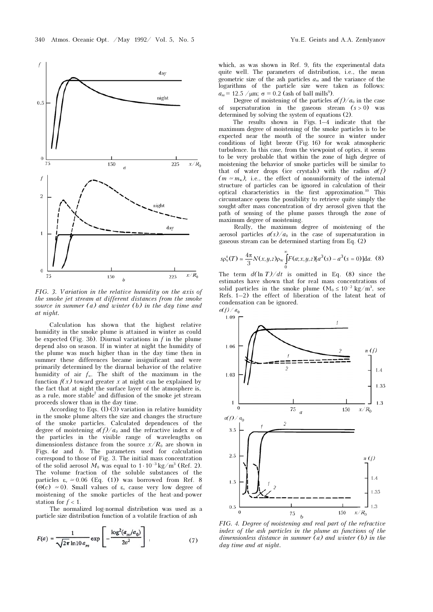

FIG. 3. Variation in the relative humidity on the axis of the smoke jet stream at different distances from the smoke source in summer  $(a)$  and winter  $(b)$  in the day time and at night.

Calculation has shown that the highest relative humidity in the smoke plume is attained in winter as could be expected (Fig. 3b). Diurnal variations in  $f$  in the plume depend also on season. If in winter at night the humidity of the plume was much higher than in the day time then in summer these differences became insignificant and were primarily determined by the diurnal behavior of the relative humidity of air f∞. The shift of the maximum in the function  $f(x)$  toward greater x at night can be explained by the fact that at night the surface layer of the atmosphere is, as a rule, more stable<sup>7</sup> and diffusion of the smoke jet stream proceeds slower than in the day time.

According to Eqs. (l)-(3) variation in relative humidity in the smoke plume alters the size and changes the structure of the smoke particles. Calculated dependences of the degree of moistening  $a(f)/a_0$  and the refractive index n of the particles in the visible range of wavelengths on dimensionless distance from the source  $x/R_0$  are shown in Figs. 4a and b. The parameters used for calculation correspond to those of Fig. 3. The initial mass concentration of the solid aerosol  $M_0$  was equal to  $1 \cdot 10^{-3}$  kg/m<sup>3</sup> (Ref. 2). The volume fraction of the soluble substances of the particles  $\varepsilon_v \approx 0.06$  (Eq. (1)) was borrowed from Ref. 8 (Θ(c)  $\approx$  0). Small values of  $\varepsilon_v$  cause very low degree of moistening of the smoke particles of the heat-and-power station for  $f < 1$ .

The normalized log-normal distribution was used as a particle size distribution function of a volatile fraction of ash

$$
F(a) = \frac{1}{\sqrt{2\pi} \ln 10 a_m} \exp \left[ -\frac{\log^2(a_m/a_0)}{2\sigma^2} \right],
$$
 (7)

which, as was shown in Ref. 9, fits the experimental data quite well. The parameters of distribution, i.e., the mean geometric size of the ash particles  $a_m$  and the variance of the logarithms of the particle size were taken as follows:  $a_m$  = 12.5 / $\mu$ m;  $\sigma$  = 0.2 (ash of ball mills<sup>9</sup>).

Degree of moistening of the particles  $a(f)/a_0$  in the case of supersaturation in the gaseous stream  $(s > 0)$  was determined by solving the system of equations (2).

The results shown in Figs. 1–4 indicate that the maximum degree of moistening of the smoke particles is to be expected near the mouth of the source in winter under conditions of light breeze (Fig. 16) for weak atmospheric turbulence. In this case, from the viewpoint of optics, it seems to be very probable that within the zone of high degree of moistening the behavior of smoke particles will be similar to that of water drops (ice crystals) with the radius  $a(f)$  $(m \simeq m_{\rm w})$ , i.e., the effect of nonuniformity of the internal structure of particles can be ignored in calculation of their optical characteristics in the first approximation.<sup>10</sup> This circumstance opens the possibility to retrieve quite simply the sought-after mass concentration of dry aerosol given that the path of sensing of the plume passes through the zone of maximum degree of moistening.

Really, the maximum degree of moistening of the aerosol particles  $a(s)/a_0$  in the case of supersaturation in gaseous stream can be determined starting from Eq. (2)

$$
sp_{\nu}^s(T) \simeq \frac{4\pi}{3} N(x, y, z) p_{\nu} \int_{0}^{\infty} F(a; x, y, z) [a^3(s) - a^3(s = 0)] da. \tag{8}
$$

The term  $d(\ln T)/dt$  is omitted in Eq. (8) since the estimates have shown that for real mass concentrations of solid particles in the smoke plume  $(M_0 \le 10^{-2} \text{ kg/m}^3)$ , see Refs. 1–2) the effect of liberation of the latent heat of condensation can be ignored.<br> $a(f)/a_0$ 



FIG. 4. Degree of moistening and real part of the refractive index of the ash particles in the plume as functions of the dimensionless distance in summer (a) and winter (b) in the day time and at night.